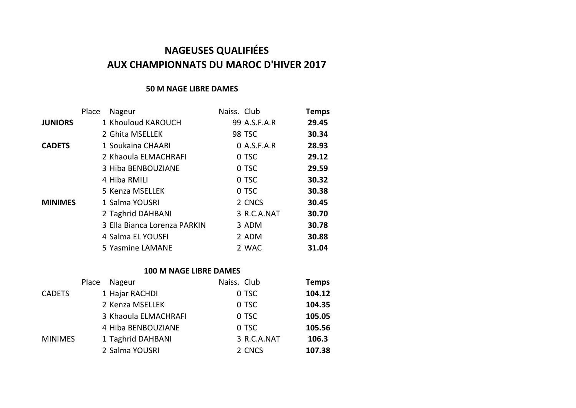# **NAGEUSES QUALIFIÉES AUX CHAMPIONNATS DU MAROC D'HIVER 2017**

#### **50 M NAGE LIBRE DAMES**

|                | Place | Nageur                       | Naiss. Club |               | <b>Temps</b> |
|----------------|-------|------------------------------|-------------|---------------|--------------|
| <b>JUNIORS</b> |       | 1 Khouloud KAROUCH           |             | 99 A.S.F.A.R  | 29.45        |
|                |       | 2 Ghita MSELLEK              |             | <b>98 TSC</b> | 30.34        |
| <b>CADETS</b>  |       | 1 Soukaina CHAARI            |             | $0$ A.S.F.A.R | 28.93        |
|                |       | 2 Khaoula ELMACHRAFI         |             | 0 TSC         | 29.12        |
|                |       | 3 Hiba BENBOUZIANE           |             | 0 TSC         | 29.59        |
|                |       | 4 Hiba RMILI                 |             | 0 TSC         | 30.32        |
|                |       | 5 Kenza MSELLEK              |             | 0 TSC         | 30.38        |
| <b>MINIMES</b> |       | 1 Salma YOUSRI               |             | 2 CNCS        | 30.45        |
|                |       | 2 Taghrid DAHBANI            |             | 3 R.C.A.NAT   | 30.70        |
|                |       | 3 Ella Bianca Lorenza PARKIN |             | 3 ADM         | 30.78        |
|                |       | 4 Salma EL YOUSFI            |             | 2 ADM         | 30.88        |
|                |       | 5 Yasmine LAMANE             |             | 2 WAC         | 31.04        |
|                |       |                              |             |               |              |

#### **100 M NAGE LIBRE DAMES**

| Place |                                                                                                                                  | <b>Temps</b>                                                             |
|-------|----------------------------------------------------------------------------------------------------------------------------------|--------------------------------------------------------------------------|
|       |                                                                                                                                  | 104.12                                                                   |
|       |                                                                                                                                  | 104.35                                                                   |
|       |                                                                                                                                  | 105.05                                                                   |
|       |                                                                                                                                  | 105.56                                                                   |
|       |                                                                                                                                  | 106.3                                                                    |
|       |                                                                                                                                  | 107.38                                                                   |
|       | Nageur<br>1 Hajar RACHDI<br>2 Kenza MSELLEK<br>3 Khaoula ELMACHRAFI<br>4 Hiba BENBOUZIANE<br>1 Taghrid DAHBANI<br>2 Salma YOUSRI | Naiss. Club<br>0 TSC<br>0 TSC<br>0 TSC<br>0 TSC<br>3 R.C.A.NAT<br>2 CNCS |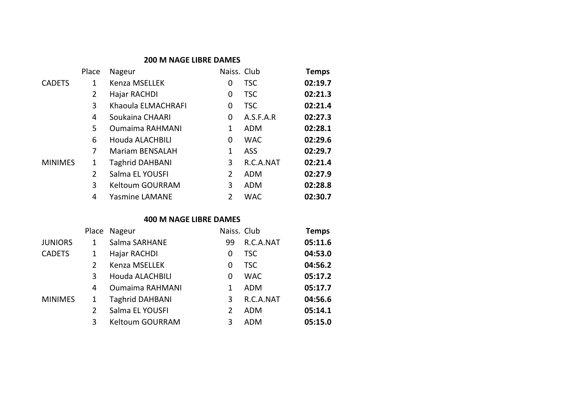#### **200 M NAGE LIBRE DAMES**

|                | Place | Nageur                 | Naiss. Club |            | <b>Temps</b> |
|----------------|-------|------------------------|-------------|------------|--------------|
| <b>CADETS</b>  | 1     | Kenza MSELLEK          | 0           | <b>TSC</b> | 02:19.7      |
|                | 2     | Hajar RACHDI           | 0           | <b>TSC</b> | 02:21.3      |
|                | 3     | Khaoula ELMACHRAFI     | 0           | <b>TSC</b> | 02:21.4      |
|                | 4     | Soukaina CHAARI        | 0           | A.S.F.A.R  | 02:27.3      |
|                | 5     | <b>Oumaima RAHMANI</b> | 1           | <b>ADM</b> | 02:28.1      |
|                | 6     | Houda ALACHBILI        | 0           | <b>WAC</b> | 02:29.6      |
|                | 7     | <b>Mariam BENSALAH</b> | 1           | ASS        | 02:29.7      |
| <b>MINIMES</b> | 1     | <b>Taghrid DAHBANI</b> | 3           | R.C.A.NAT  | 02:21.4      |
|                | 2     | Salma EL YOUSFI        | 2           | <b>ADM</b> | 02:27.9      |
|                | 3     | Keltoum GOURRAM        | 3           | ADM        | 02:28.8      |
|                | 4     | <b>Yasmine LAMANE</b>  | 2           | <b>WAC</b> | 02:30.7      |

# **400 M NAGE LIBRE DAMES**

|                | Place | Nageur                 | Naiss. Club |            | <b>Temps</b> |
|----------------|-------|------------------------|-------------|------------|--------------|
| <b>JUNIORS</b> | 1     | Salma SARHANE          | 99          | R.C.A.NAT  | 05:11.6      |
| <b>CADETS</b>  | 1     | Hajar RACHDI           | 0           | <b>TSC</b> | 04:53.0      |
|                | 2     | Kenza MSELLEK          | 0           | <b>TSC</b> | 04:56.2      |
|                | 3     | Houda ALACHBILI        | 0           | <b>WAC</b> | 05:17.2      |
|                | 4     | <b>Oumaima RAHMANI</b> | 1           | <b>ADM</b> | 05:17.7      |
| <b>MINIMES</b> | 1     | <b>Taghrid DAHBANI</b> | 3           | R.C.A.NAT  | 04:56.6      |
|                | 2     | Salma EL YOUSFI        | 2           | <b>ADM</b> | 05:14.1      |
|                | 3     | Keltoum GOURRAM        | 3           | <b>ADM</b> | 05:15.0      |
|                |       |                        |             |            |              |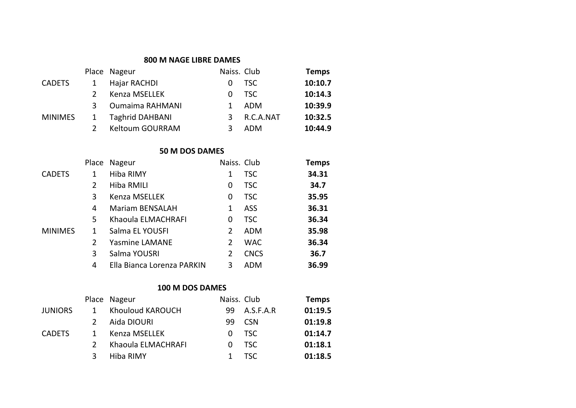#### **800 M NAGE LIBRE DAMES**

|                |   | Place Nageur           | Naiss. Club |           | <b>Temps</b> |
|----------------|---|------------------------|-------------|-----------|--------------|
| <b>CADETS</b>  |   | Hajar RACHDI           | $^{(1)}$    | TSC .     | 10:10.7      |
|                |   | Kenza MSELLEK          | 0           | TSC       | 10:14.3      |
|                | 3 | <b>Oumaima RAHMANI</b> |             | ADM       | 10:39.9      |
| <b>MINIMES</b> |   | <b>Taghrid DAHBANI</b> | 3           | R.C.A.NAT | 10:32.5      |
|                |   | Keltoum GOURRAM        |             | ADM       | 10:44.9      |
|                |   |                        |             |           |              |

# **50 M DOS DAMES**

|                | Place         | Nageur                     | Naiss. Club |             | Temps |
|----------------|---------------|----------------------------|-------------|-------------|-------|
| <b>CADETS</b>  | 1             | Hiba RIMY                  | 1           | <b>TSC</b>  | 34.31 |
|                | $\mathcal{P}$ | Hiba RMILI                 | 0           | <b>TSC</b>  | 34.7  |
|                | 3             | Kenza MSELLEK              | 0           | <b>TSC</b>  | 35.95 |
|                | 4             | Mariam BENSALAH            | 1           | ASS         | 36.31 |
|                | 5.            | Khaoula ELMACHRAFI         | 0           | <b>TSC</b>  | 36.34 |
| <b>MINIMES</b> | 1             | Salma EL YOUSFI            | 2           | ADM         | 35.98 |
|                | 2             | <b>Yasmine LAMANE</b>      | 2           | <b>WAC</b>  | 36.34 |
|                | 3             | Salma YOUSRI               | 2           | <b>CNCS</b> | 36.7  |
|                | 4             | Ella Bianca Lorenza PARKIN | 3           | ADM         | 36.99 |
|                |               |                            |             |             |       |

# **100 M DOS DAMES**

|                |              | Place Nageur       | Naiss. Club |            | <b>Temps</b> |
|----------------|--------------|--------------------|-------------|------------|--------------|
| <b>JUNIORS</b> | $\mathbf{1}$ | Khouloud KAROUCH   | 99.         | A.S.F.A.R  | 01:19.5      |
|                |              | Aida DIOURI        | 99          | <b>CSN</b> | 01:19.8      |
| <b>CADETS</b>  | 1            | Kenza MSELLEK      | 0           | TSC        | 01:14.7      |
|                |              | Khaoula ELMACHRAFI | $\Omega$    | TSC.       | 01:18.1      |
|                | 3            | Hiba RIMY          |             | TSC        | 01:18.5      |
|                |              |                    |             |            |              |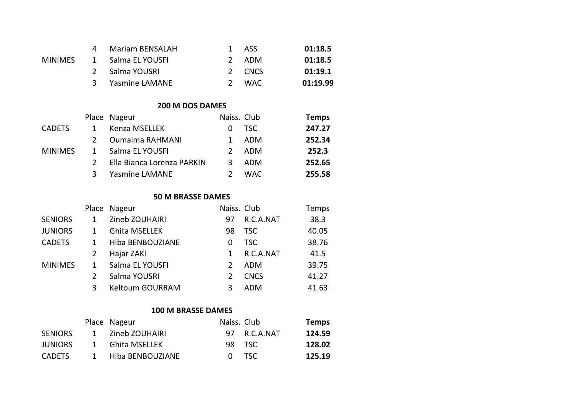|         |              | Mariam BENSALAH  | 1 ASS  | 01:18.5  |
|---------|--------------|------------------|--------|----------|
| MINIMFS | $\mathbf{1}$ | Salma EL YOUSFI  | 2 ADM  | 01:18.5  |
|         |              | 2 Salma YOUSRI   | 2 CNCS | 01:19.1  |
|         |              | 3 Yasmine LAMANE | - WAC  | 01:19.99 |
|         |              |                  |        |          |

# **200 M DOS DAMES**

|                |   | Place Nageur               | Naiss. Club   |      | <b>Temps</b> |
|----------------|---|----------------------------|---------------|------|--------------|
| <b>CADETS</b>  |   | Kenza MSELLEK              | $\Omega$      | TSC  | 247.27       |
|                |   | <b>Oumaima RAHMANI</b>     | 1             | ADM  | 252.34       |
| <b>MINIMES</b> |   | Salma EL YOUSFI            | $\mathcal{L}$ | ADM  | 252.3        |
|                |   | Ella Bianca Lorenza PARKIN | 3             | ADM  | 252.65       |
|                | 3 | <b>Yasmine LAMANE</b>      |               | WAC. | 255.58       |
|                |   |                            |               |      |              |

#### **50 M BRASSE DAMES**

|                |   | Place Nageur           | Naiss. Club |             | Temps |
|----------------|---|------------------------|-------------|-------------|-------|
| <b>SENIORS</b> |   | Zineb ZOUHAIRI         | 97          | R.C.A.NAT   | 38.3  |
| <b>JUNIORS</b> |   | <b>Ghita MSELLEK</b>   | 98          | <b>TSC</b>  | 40.05 |
| <b>CADETS</b>  |   | Hiba BENBOUZIANE       | 0           | <b>TSC</b>  | 38.76 |
|                |   | Hajar ZAKI             |             | R.C.A.NAT   | 41.5  |
| <b>MINIMES</b> |   | Salma EL YOUSFI        |             | <b>ADM</b>  | 39.75 |
|                |   | Salma YOUSRI           |             | <b>CNCS</b> | 41.27 |
|                | 3 | <b>Keltoum GOURRAM</b> |             | ADM         | 41.63 |
|                |   |                        |             |             |       |

# **100 M BRASSE DAMES**

|                |              | Place Nageur     | Naiss. Club |              | <b>Temps</b> |
|----------------|--------------|------------------|-------------|--------------|--------------|
| <b>SENIORS</b> | 1            | Zineb ZOUHAIRI   |             | 97 R.C.A.NAT | 124.59       |
| <b>JUNIORS</b> | $\mathbf{1}$ | Ghita MSELLEK    |             | 98 TSC       | 128.02       |
| <b>CADETS</b>  | $\mathbf{1}$ | Hiba BENBOUZIANE |             | 0 TSC        | 125.19       |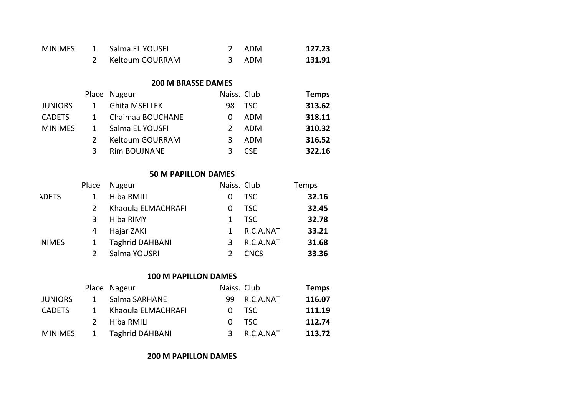| <b>MINIMES</b> | $\mathbf{1}$   | Salma EL YOUSFI             | $\overline{2}$ | <b>ADM</b>  | 127.23       |
|----------------|----------------|-----------------------------|----------------|-------------|--------------|
|                | $\overline{2}$ | Keltoum GOURRAM             | 3              | <b>ADM</b>  | 131.91       |
|                |                |                             |                |             |              |
|                |                | <b>200 M BRASSE DAMES</b>   |                |             |              |
|                |                | Place Nageur                | Naiss. Club    |             | <b>Temps</b> |
| <b>JUNIORS</b> | $\mathbf{1}$   | Ghita MSELLEK               | 98             | <b>TSC</b>  | 313.62       |
| <b>CADETS</b>  | 1              | Chaimaa BOUCHANE            | 0              | ADM         | 318.11       |
| <b>MINIMES</b> | $\mathbf{1}$   | Salma EL YOUSFI             | $\overline{2}$ | ADM         | 310.32       |
|                | 2              | Keltoum GOURRAM             | 3 <sup>7</sup> | ADM         | 316.52       |
|                | 3              | Rim BOUJNANE                | 3              | <b>CSE</b>  | 322.16       |
|                |                |                             |                |             |              |
|                |                | <b>50 M PAPILLON DAMES</b>  |                |             |              |
|                | Place          | Nageur                      | Naiss. Club    |             | Temps        |
| <b>NDETS</b>   | $\mathbf{1}$   | Hiba RMILI                  | 0              | <b>TSC</b>  | 32.16        |
|                | $\overline{2}$ | Khaoula ELMACHRAFI          | $\Omega$       | <b>TSC</b>  | 32.45        |
|                | 3              | Hiba RIMY                   | $\mathbf{1}$   | <b>TSC</b>  | 32.78        |
|                | 4              | Hajar ZAKI                  | $\mathbf{1}$   | R.C.A.NAT   | 33.21        |
| <b>INIMES</b>  | 1              | <b>Taghrid DAHBANI</b>      | 3 <sup>7</sup> | R.C.A.NAT   | 31.68        |
|                | $\overline{2}$ | Salma YOUSRI                | $\overline{2}$ | <b>CNCS</b> | 33.36        |
|                |                |                             |                |             |              |
|                |                | <b>100 M PAPILLON DAMES</b> |                |             |              |
|                |                | Place Nageur                | Naiss. Club    |             | <b>Temps</b> |
| <b>JUNIORS</b> | $\mathbf{1}$   | Salma SARHANE               | 99             | R.C.A.NAT   | 116.07       |
| <b>CADETS</b>  | $\mathbf{1}$   | Khaoula ELMACHRAFI          | 0              | <b>TSC</b>  | 111.19       |
|                | $\overline{2}$ | Hiba RMILI                  | 0              | <b>TSC</b>  | 112.74       |
| <b>MINIMES</b> | $\mathbf{1}$   | <b>Taghrid DAHBANI</b>      | 3              | R.C.A.NAT   | 113.72       |

**200 M PAPILLON DAMES**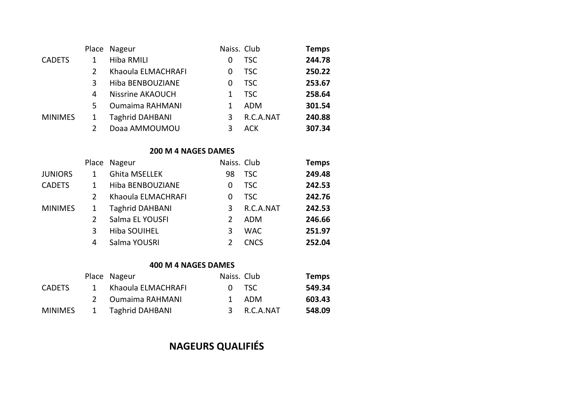|                | Place | Nageur                 | Naiss. Club |            | <b>Temps</b> |
|----------------|-------|------------------------|-------------|------------|--------------|
| <b>CADETS</b>  |       | Hiba RMILI             | 0           | <b>TSC</b> | 244.78       |
|                |       | Khaoula ELMACHRAFI     | 0           | <b>TSC</b> | 250.22       |
|                | 3     | Hiba BENBOUZIANE       | 0           | <b>TSC</b> | 253.67       |
|                | 4     | Nissrine AKAOUCH       | 1           | TSC.       | 258.64       |
|                | 5.    | <b>Oumaima RAHMANI</b> |             | <b>ADM</b> | 301.54       |
| <b>MINIMES</b> |       | <b>Taghrid DAHBANI</b> | 3           | R.C.A.NAT  | 240.88       |
|                |       | Doaa AMMOUMOU          |             | <b>ACK</b> | 307.34       |

# **200 M 4 NAGES DAMES**

|                |               | Place Nageur           | Naiss. Club |             | <b>Temps</b> |
|----------------|---------------|------------------------|-------------|-------------|--------------|
| <b>JUNIORS</b> |               | <b>Ghita MSELLEK</b>   | 98          | TSC         | 249.48       |
| <b>CADETS</b>  |               | Hiba BENBOUZIANE       | 0           | <b>TSC</b>  | 242.53       |
|                | $\mathcal{P}$ | Khaoula ELMACHRAFI     | 0           | TSC.        | 242.76       |
| <b>MINIMES</b> | 1             | <b>Taghrid DAHBANI</b> | 3           | R.C.A.NAT   | 242.53       |
|                |               | Salma EL YOUSFI        |             | ADM         | 246.66       |
|                | 3             | <b>Hiba SOUIHEL</b>    | 3           | <b>WAC</b>  | 251.97       |
|                | 4             | Salma YOUSRI           |             | <b>CNCS</b> | 252.04       |
|                |               |                        |             |             |              |

#### **400 M 4 NAGES DAMES**

|                |               | Place Nageur       | Naiss. Club |             | <b>Temps</b> |
|----------------|---------------|--------------------|-------------|-------------|--------------|
| <b>CADETS</b>  | 1             | Khaoula ELMACHRAFI |             | 0 TSC       | 549.34       |
|                | $\mathcal{P}$ | Oumaima RAHMANI    |             | 1 ADM       | 603.43       |
| <b>MINIMES</b> |               | 1 Taghrid DAHBANI  |             | 3 R.C.A.NAT | 548.09       |

# **NAGEURS QUALIFIÉS**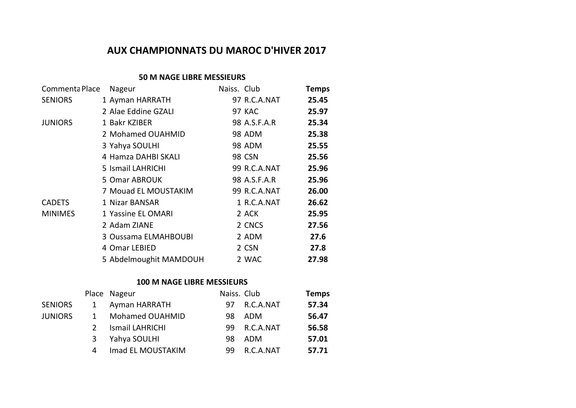# **AUX CHAMPIONNATS DU MAROC D'HIVER 2017**

#### **50 M NAGE LIBRE MESSIEURS**

| Commenta Place | Nageur                 | Naiss. Club |              | <b>Temps</b> |
|----------------|------------------------|-------------|--------------|--------------|
| <b>SENIORS</b> | 1 Ayman HARRATH        |             | 97 R.C.A.NAT | 25.45        |
|                | 2 Alae Eddine GZALI    |             | 97 KAC       | 25.97        |
| <b>JUNIORS</b> | 1 Bakr KZIBER          |             | 98 A.S.F.A.R | 25.34        |
|                | 2 Mohamed OUAHMID      |             | 98 ADM       | 25.38        |
|                | 3 Yahya SOULHI         |             | 98 ADM       | 25.55        |
|                | 4 Hamza DAHBI SKALI    |             | 98 CSN       | 25.56        |
|                | 5 Ismail LAHRICHI      |             | 99 R.C.A.NAT | 25.96        |
|                | 5 Omar ABROUK          |             | 98 A.S.F.A.R | 25.96        |
|                | 7 Mouad EL MOUSTAKIM   |             | 99 R.C.A.NAT | 26.00        |
| <b>CADETS</b>  | 1 Nizar BANSAR         |             | 1 R.C.A.NAT  | 26.62        |
| <b>MINIMES</b> | 1 Yassine EL OMARI     |             | 2 ACK        | 25.95        |
|                | 2 Adam ZIANE           |             | 2 CNCS       | 27.56        |
|                | 3 Oussama ELMAHBOUBI   |             | 2 ADM        | 27.6         |
|                | 4 Omar LEBIED          |             | 2 CSN        | 27.8         |
|                | 5 Abdelmoughit MAMDOUH |             | 2 WAC        | 27.98        |
|                |                        |             |              |              |

# **100 M NAGE LIBRE MESSIEURS**

|                |              | Place Nageur      | Naiss. Club |           | <b>Temps</b> |
|----------------|--------------|-------------------|-------------|-----------|--------------|
| <b>SENIORS</b> | 1            | Ayman HARRATH     | 97          | R.C.A.NAT | 57.34        |
| JUNIORS        | $\mathbf{1}$ | Mohamed OUAHMID   | 98.         | ADM       | 56.47        |
|                |              | Ismail LAHRICHI   | 99.         | R.C.A.NAT | 56.58        |
|                | 3            | Yahya SOULHI      | 98          | ADM       | 57.01        |
|                | 4            | Imad EL MOUSTAKIM | 99          | R.C.A.NAT | 57.71        |
|                |              |                   |             |           |              |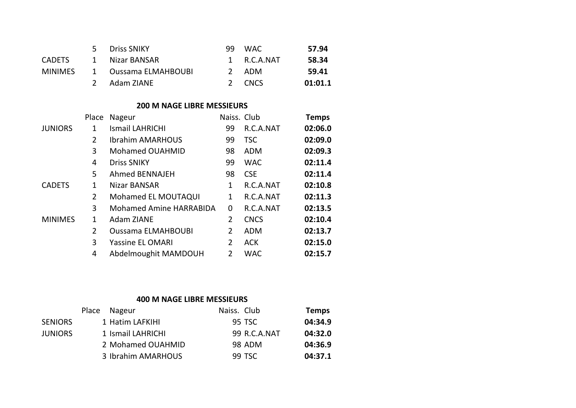|               | Driss SNIKY          | 99 WAC      | 57.94   |
|---------------|----------------------|-------------|---------|
| <b>CADETS</b> | 1 Nizar BANSAR       | 1 R.C.A.NAT | 58.34   |
| MINIMFS       | 1 Oussama ELMAHBOUBI | 2 ADM       | 59.41   |
|               | 2 Adam ZIANE         | 2 CNCS      | 01:01.1 |

# **200 M NAGE LIBRE MESSIEURS**

|                | Place          | Nageur                    | Naiss. Club    |             | Temps   |
|----------------|----------------|---------------------------|----------------|-------------|---------|
| <b>JUNIORS</b> | 1              | <b>Ismail LAHRICHI</b>    | 99             | R.C.A.NAT   | 02:06.0 |
|                | $\overline{2}$ | <b>Ibrahim AMARHOUS</b>   | 99             | <b>TSC</b>  | 02:09.0 |
|                | 3              | Mohamed OUAHMID           | 98             | ADM         | 02:09.3 |
|                | 4              | <b>Driss SNIKY</b>        | 99             | <b>WAC</b>  | 02:11.4 |
|                | 5              | Ahmed BENNAJEH            | 98             | <b>CSE</b>  | 02:11.4 |
| <b>CADETS</b>  | 1              | Nizar BANSAR              | 1              | R.C.A.NAT   | 02:10.8 |
|                | 2              | Mohamed EL MOUTAQUI       | 1              | R.C.A.NAT   | 02:11.3 |
|                | 3              | Mohamed Amine HARRABIDA   | 0              | R.C.A.NAT   | 02:13.5 |
| <b>MINIMES</b> | 1              | Adam ZIANE                | $\overline{2}$ | <b>CNCS</b> | 02:10.4 |
|                | $\overline{2}$ | <b>Oussama ELMAHBOUBI</b> | 2              | <b>ADM</b>  | 02:13.7 |
|                | 3              | <b>Yassine EL OMARI</b>   | 2              | <b>ACK</b>  | 02:15.0 |
|                | 4              | Abdelmoughit MAMDOUH      | 2              | <b>WAC</b>  | 02:15.7 |
|                |                |                           |                |             |         |

## **400 M NAGE LIBRE MESSIEURS**

|                | Place Nageur       | Naiss. Club |              | <b>Temps</b> |
|----------------|--------------------|-------------|--------------|--------------|
| <b>SENIORS</b> | 1 Hatim LAFKIHI    |             | 95 TSC       | 04:34.9      |
| <b>JUNIORS</b> | 1 Ismail LAHRICHI  |             | 99 R.C.A.NAT | 04:32.0      |
|                | 2 Mohamed OUAHMID  |             | 98 ADM       | 04:36.9      |
|                | 3 Ibrahim AMARHOUS |             | 99 TSC       | 04:37.1      |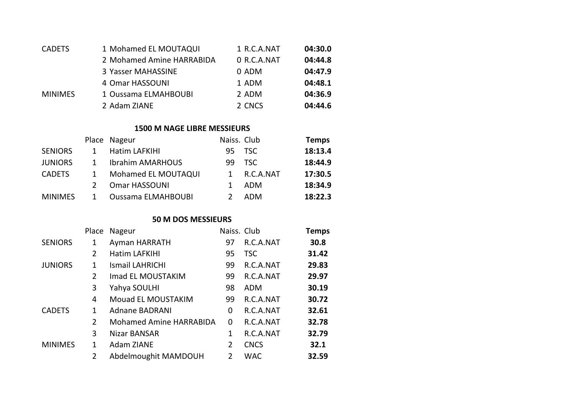| <b>CADETS</b>  | 1 Mohamed EL MOUTAQUI     | 1 R.C.A.NAT | 04:30.0 |
|----------------|---------------------------|-------------|---------|
|                | 2 Mohamed Amine HARRABIDA | 0 R.C.A.NAT | 04:44.8 |
|                | 3 Yasser MAHASSINE        | 0 ADM       | 04:47.9 |
|                | 4 Omar HASSOUNI           | 1 ADM       | 04:48.1 |
| <b>MINIMES</b> | 1 Oussama ELMAHBOUBI      | 2 ADM       | 04:36.9 |
|                | 2 Adam ZIANE              | 2 CNCS      | 04:44.6 |

## **1500 M NAGE LIBRE MESSIEURS**

|                           |              |            | <b>Temps</b>              |
|---------------------------|--------------|------------|---------------------------|
| Hatim LAFKIHI             | 95           |            | 18:13.4                   |
| <b>Ibrahim AMARHOUS</b>   | 99           | TSC.       | 18:44.9                   |
| Mohamed EL MOUTAQUI       |              | R.C.A.NAT  | 17:30.5                   |
| Omar HASSOUNI             |              | <b>ADM</b> | 18:34.9                   |
| <b>Oussama ELMAHBOUBI</b> |              | <b>ADM</b> | 18:22.3                   |
|                           | Place Nageur |            | Naiss. Club<br><b>TSC</b> |

# **50 M DOS MESSIEURS**

|                | Place          | Nageur                  | Naiss. Club   |             | <b>Temps</b> |
|----------------|----------------|-------------------------|---------------|-------------|--------------|
| <b>SENIORS</b> | 1              | Ayman HARRATH           | 97            | R.C.A.NAT   | 30.8         |
|                | $\overline{2}$ | Hatim LAFKIHI           | 95            | <b>TSC</b>  | 31.42        |
| <b>JUNIORS</b> | 1              | <b>Ismail LAHRICHI</b>  | 99            | R.C.A.NAT   | 29.83        |
|                | 2              | Imad EL MOUSTAKIM       | 99            | R.C.A.NAT   | 29.97        |
|                | 3              | Yahya SOULHI            | 98            | ADM         | 30.19        |
|                | 4              | Mouad EL MOUSTAKIM      | 99            | R.C.A.NAT   | 30.72        |
| <b>CADETS</b>  | 1              | Adnane BADRANI          | 0             | R.C.A.NAT   | 32.61        |
|                | 2              | Mohamed Amine HARRABIDA | 0             | R.C.A.NAT   | 32.78        |
|                | 3              | Nizar BANSAR            | 1             | R.C.A.NAT   | 32.79        |
| <b>MINIMES</b> | 1              | Adam ZIANE              | 2             | <b>CNCS</b> | 32.1         |
|                | 2              | Abdelmoughit MAMDOUH    | $\mathcal{P}$ | <b>WAC</b>  | 32.59        |
|                |                |                         |               |             |              |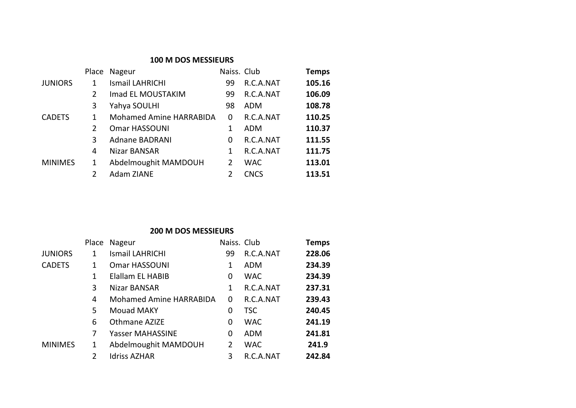| <b>100 M DOS MESSIEURS</b> |                |                         |              |             |              |
|----------------------------|----------------|-------------------------|--------------|-------------|--------------|
|                            | Place          | Nageur                  | Naiss. Club  |             | <b>Temps</b> |
| <b>JUNIORS</b>             | 1              | Ismail LAHRICHI         | 99           | R.C.A.NAT   | 105.16       |
|                            | $\overline{2}$ | Imad EL MOUSTAKIM       | 99           | R.C.A.NAT   | 106.09       |
|                            | 3              | Yahya SOULHI            | 98           | ADM         | 108.78       |
| <b>CADETS</b>              | 1              | Mohamed Amine HARRABIDA | 0            | R.C.A.NAT   | 110.25       |
|                            | $\overline{2}$ | Omar HASSOUNI           |              | ADM         | 110.37       |
|                            | 3              | <b>Adnane BADRANI</b>   | <sup>0</sup> | R.C.A.NAT   | 111.55       |
|                            | 4              | Nizar BANSAR            | 1            | R.C.A.NAT   | 111.75       |
| <b>MINIMES</b>             | 1              | Abdelmoughit MAMDOUH    | 2            | <b>WAC</b>  | 113.01       |
|                            | $\overline{2}$ | Adam ZIANE              | っ            | <b>CNCS</b> | 113.51       |

# **200 M DOS MESSIEURS**

|                | Place | Nageur                  | Naiss. Club |            | <b>Temps</b> |
|----------------|-------|-------------------------|-------------|------------|--------------|
| <b>JUNIORS</b> | 1     | Ismail LAHRICHI         | 99          | R.C.A.NAT  | 228.06       |
| <b>CADETS</b>  | 1     | Omar HASSOUNI           | 1           | ADM        | 234.39       |
|                | 1     | Elallam EL HABIB        | 0           | <b>WAC</b> | 234.39       |
|                | 3     | Nizar BANSAR            | 1           | R.C.A.NAT  | 237.31       |
|                | 4     | Mohamed Amine HARRABIDA | 0           | R.C.A.NAT  | 239.43       |
|                | 5     | Mouad MAKY              | 0           | <b>TSC</b> | 240.45       |
|                | 6     | Othmane AZIZE           | 0           | <b>WAC</b> | 241.19       |
|                | 7     | Yasser MAHASSINE        | 0           | ADM        | 241.81       |
| <b>MINIMES</b> | 1     | Abdelmoughit MAMDOUH    | 2           | <b>WAC</b> | 241.9        |
|                | 2     | <b>Idriss AZHAR</b>     | 3           | R.C.A.NAT  | 242.84       |
|                |       |                         |             |            |              |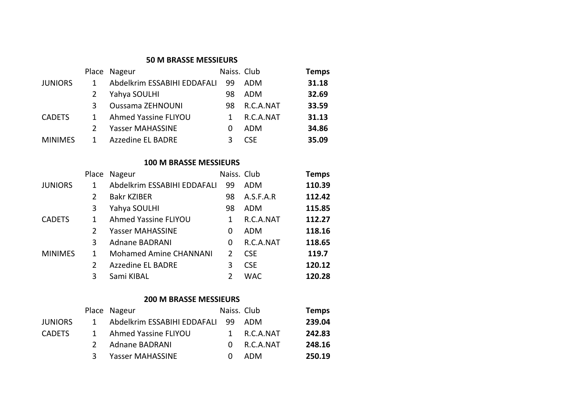#### **50 M BRASSE MESSIEURS**

|                |   | Place Nageur                | Naiss. Club |            | <b>Temps</b> |
|----------------|---|-----------------------------|-------------|------------|--------------|
| <b>JUNIORS</b> |   | Abdelkrim ESSABIHI EDDAFALI | -99         | ADM        | 31.18        |
|                |   | Yahya SOULHI                | 98          | ADM        | 32.69        |
|                | 3 | <b>Oussama ZEHNOUNI</b>     | 98          | R.C.A.NAT  | 33.59        |
| <b>CADETS</b>  |   | Ahmed Yassine FLIYOU        |             | R.C.A.NAT  | 31.13        |
|                |   | Yasser MAHASSINE            |             | ADM        | 34.86        |
| <b>MINIMES</b> |   | <b>Azzedine EL BADRE</b>    |             | <b>CSF</b> | 35.09        |

#### **100 M BRASSE MESSIEURS**

|                |   | Place Nageur                  | Naiss. Club |            | <b>Temps</b> |
|----------------|---|-------------------------------|-------------|------------|--------------|
| <b>JUNIORS</b> | 1 | Abdelkrim ESSABIHI EDDAFALI   | 99          | ADM        | 110.39       |
|                | 2 | <b>Bakr KZIBER</b>            | 98          | A.S.F.A.R  | 112.42       |
|                | 3 | Yahya SOULHI                  | 98          | ADM        | 115.85       |
| <b>CADETS</b>  | 1 | Ahmed Yassine FLIYOU          | 1           | R.C.A.NAT  | 112.27       |
|                | 2 | Yasser MAHASSINE              | 0           | <b>ADM</b> | 118.16       |
|                | 3 | Adnane BADRANI                | 0           | R.C.A.NAT  | 118.65       |
| <b>MINIMES</b> | 1 | <b>Mohamed Amine CHANNANI</b> | 2           | <b>CSE</b> | 119.7        |
|                | 2 | <b>Azzedine EL BADRE</b>      | 3           | <b>CSE</b> | 120.12       |
|                | 3 | Sami KIBAL                    | 2           | <b>WAC</b> | 120.28       |
|                |   |                               |             |            |              |

#### **200 M BRASSE MESSIEURS**

|              |                |                                                          |                                | <b>Temps</b>                                          |
|--------------|----------------|----------------------------------------------------------|--------------------------------|-------------------------------------------------------|
| $\mathbf{1}$ |                |                                                          |                                | 239.04                                                |
| $\mathbf{1}$ |                |                                                          |                                | 242.83                                                |
|              | Adnane BADRANI | ∩.                                                       |                                | 248.16                                                |
| 3            |                |                                                          |                                | 250.19                                                |
|              |                | Place Nageur<br>Ahmed Yassine FLIYOU<br>Yasser MAHASSINE | Abdelkrim ESSABIHI EDDAFALI 99 | Naiss. Club<br>ADM<br>1 R.C.A.NAT<br>R.C.A.NAT<br>ADM |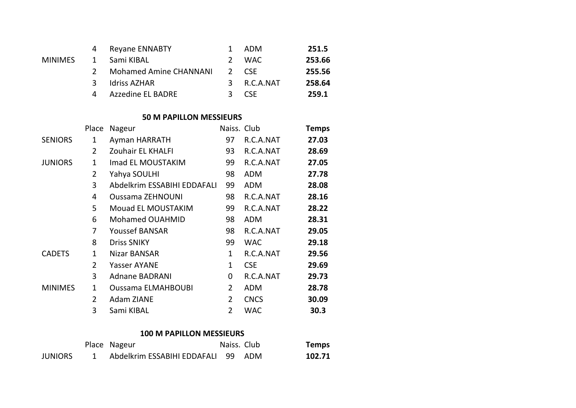|         | 4             | <b>Reyane ENNABTY</b>  | ADM         | 251.5  |
|---------|---------------|------------------------|-------------|--------|
| MINIMES | 1             | Sami KIBAL             | 2 WAC       | 253.66 |
|         | $\mathcal{L}$ | Mohamed Amine CHANNANI | 2 CSF       | 255.56 |
|         | ર             | Idriss AZHAR           | 3 R.C.A.NAT | 258.64 |
|         | Δ             | Azzedine EL BADRE      | 3 CSF       | 259.1  |

#### **50 M PAPILLON MESSIEURS**

|                | Place        | Nageur                      | Naiss. Club    |             | Temps |
|----------------|--------------|-----------------------------|----------------|-------------|-------|
| <b>SENIORS</b> | 1            | Ayman HARRATH               | 97             | R.C.A.NAT   | 27.03 |
|                | 2            | Zouhair EL KHALFI           | 93             | R.C.A.NAT   | 28.69 |
| <b>JUNIORS</b> | 1            | Imad EL MOUSTAKIM           | 99             | R.C.A.NAT   | 27.05 |
|                | 2            | Yahya SOULHI                | 98             | <b>ADM</b>  | 27.78 |
|                | 3            | Abdelkrim ESSABIHI EDDAFALI | 99             | <b>ADM</b>  | 28.08 |
|                | 4            | <b>Oussama ZEHNOUNI</b>     | 98             | R.C.A.NAT   | 28.16 |
|                | 5            | Mouad EL MOUSTAKIM          | 99             | R.C.A.NAT   | 28.22 |
|                | 6            | Mohamed OUAHMID             | 98             | <b>ADM</b>  | 28.31 |
|                | 7            | Youssef BANSAR              | 98             | R.C.A.NAT   | 29.05 |
|                | 8            | <b>Driss SNIKY</b>          | 99             | <b>WAC</b>  | 29.18 |
| <b>CADETS</b>  | 1            | Nizar BANSAR                | 1              | R.C.A.NAT   | 29.56 |
|                | 2            | Yasser AYANE                | 1              | <b>CSE</b>  | 29.69 |
|                | 3            | Adnane BADRANI              | 0              | R.C.A.NAT   | 29.73 |
| <b>MINIMES</b> | $\mathbf{1}$ | <b>Oussama ELMAHBOUBI</b>   | 2              | <b>ADM</b>  | 28.78 |
|                | 2            | Adam ZIANE                  | $\overline{2}$ | <b>CNCS</b> | 30.09 |
|                | 3            | Sami KIBAL                  | 2              | <b>WAC</b>  | 30.3  |
|                |              |                             |                |             |       |

#### **100 M PAPILLON MESSIEURS**

|                | Place Nageur                       | Naiss. Club | <b>Temps</b> |
|----------------|------------------------------------|-------------|--------------|
| <b>JUNIORS</b> | Abdelkrim ESSABIHI EDDAFALI 99 ADM |             | 102.71       |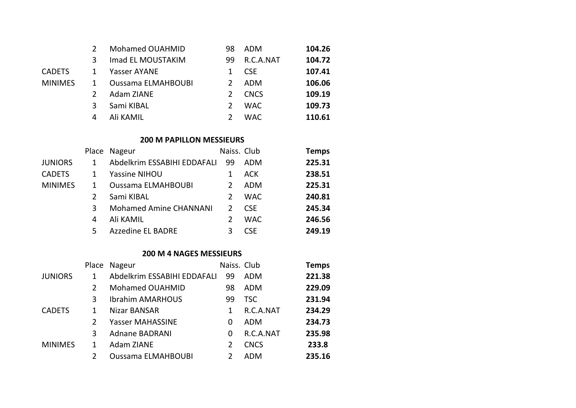|                |   | Mohamed OUAHMID           | 98            | ADM         | 104.26 |
|----------------|---|---------------------------|---------------|-------------|--------|
|                | κ | Imad EL MOUSTAKIM         | 99            | R.C.A.NAT   | 104.72 |
| <b>CADETS</b>  | 1 | Yasser AYANE              |               | <b>CSE</b>  | 107.41 |
| <b>MINIMES</b> | 1 | <b>Oussama ELMAHBOUBI</b> | $\mathcal{L}$ | ADM         | 106.06 |
|                |   | Adam ZIANE                |               | <b>CNCS</b> | 109.19 |
|                | 3 | Sami KIBAL                | $\mathcal{L}$ | <b>WAC</b>  | 109.73 |
|                | 4 | Ali KAMIL                 |               | <b>WAC</b>  | 110.61 |
|                |   |                           |               |             |        |

#### **200 M PAPILLON MESSIEURS**

|                |    | Place Nageur                  | Naiss. Club   |            | <b>Temps</b> |
|----------------|----|-------------------------------|---------------|------------|--------------|
| <b>JUNIORS</b> |    | Abdelkrim ESSABIHI EDDAFALI   | -99           | <b>ADM</b> | 225.31       |
| <b>CADETS</b>  |    | Yassine NIHOU                 |               | <b>ACK</b> | 238.51       |
| <b>MINIMES</b> |    | <b>Oussama ELMAHBOUBI</b>     | 2             | ADM        | 225.31       |
|                |    | Sami KIBAL                    | 2             | <b>WAC</b> | 240.81       |
|                | 3  | <b>Mohamed Amine CHANNANI</b> | $\mathcal{P}$ | <b>CSE</b> | 245.34       |
|                | 4  | Ali KAMIL                     | 2             | <b>WAC</b> | 246.56       |
|                | 5. | <b>Azzedine EL BADRE</b>      | ર             | <b>CSE</b> | 249.19       |

#### **200 M 4 NAGES MESSIEURS**

|                | Place | Nageur                      | Naiss. Club |             | <b>Temps</b> |
|----------------|-------|-----------------------------|-------------|-------------|--------------|
| <b>JUNIORS</b> | 1     | Abdelkrim ESSABIHI EDDAFALI | 99          | ADM         | 221.38       |
|                | 2     | Mohamed OUAHMID             | 98          | ADM         | 229.09       |
|                | 3     | <b>Ibrahim AMARHOUS</b>     | 99          | <b>TSC</b>  | 231.94       |
| <b>CADETS</b>  | 1     | Nizar BANSAR                |             | R.C.A.NAT   | 234.29       |
|                | 2     | Yasser MAHASSINE            | 0           | ADM         | 234.73       |
|                | 3     | Adnane BADRANI              | 0           | R.C.A.NAT   | 235.98       |
| <b>MINIMES</b> | 1     | Adam ZIANE                  |             | <b>CNCS</b> | 233.8        |
|                | 2     | <b>Oussama ELMAHBOUBI</b>   |             | ADM         | 235.16       |
|                |       |                             |             |             |              |